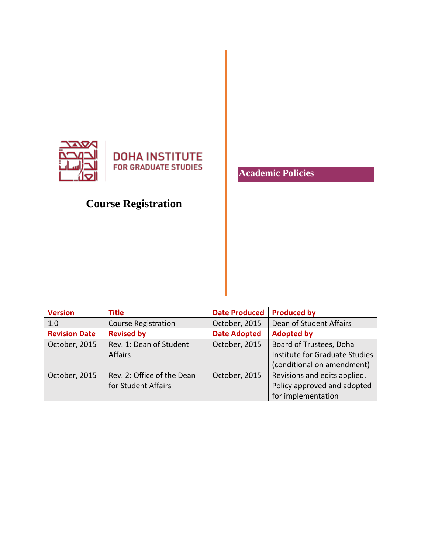

## **Course Registration**

**Academic Policies**

| <b>Version</b>       | <b>Title</b>               | <b>Date Produced</b> | <b>Produced by</b>             |
|----------------------|----------------------------|----------------------|--------------------------------|
| 1.0                  | <b>Course Registration</b> | October, 2015        | Dean of Student Affairs        |
| <b>Revision Date</b> | <b>Revised by</b>          | <b>Date Adopted</b>  | <b>Adopted by</b>              |
| October, 2015        | Rev. 1: Dean of Student    | October, 2015        | Board of Trustees, Doha        |
|                      | <b>Affairs</b>             |                      | Institute for Graduate Studies |
|                      |                            |                      | (conditional on amendment)     |
| October, 2015        | Rev. 2: Office of the Dean | October, 2015        | Revisions and edits applied.   |
|                      | for Student Affairs        |                      | Policy approved and adopted    |
|                      |                            |                      | for implementation             |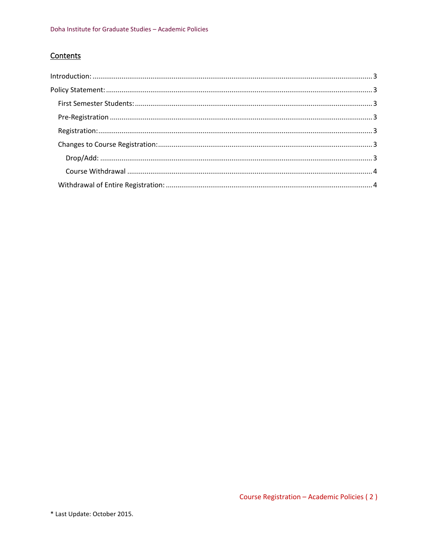## Contents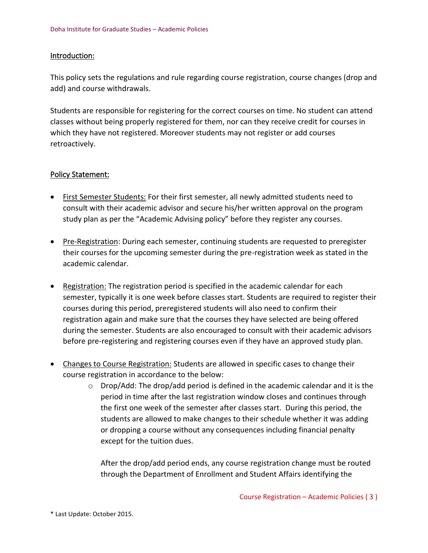## <span id="page-2-0"></span>Introduction:

This policy sets the regulations and rule regarding course registration, course changes (drop and add) and course withdrawals.

Students are responsible for registering for the correct courses on time. No student can attend classes without being properly registered for them, nor can they receive credit for courses in which they have not registered. Moreover students may not register or add courses retroactively.

## <span id="page-2-1"></span>Policy Statement:

- <span id="page-2-2"></span>• First Semester Students: For their first semester, all newly admitted students need to consult with their academic advisor and secure his/her written approval on the program study plan as per the "Academic Advising policy" before they register any courses.
- <span id="page-2-3"></span>• Pre-Registration: During each semester, continuing students are requested to preregister their courses for the upcoming semester during the pre-registration week as stated in the academic calendar.
- <span id="page-2-4"></span>• Registration: The registration period is specified in the academic calendar for each semester, typically it is one week before classes start. Students are required to register their courses during this period, preregistered students will also need to confirm their registration again and make sure that the courses they have selected are being offered during the semester. Students are also encouraged to consult with their academic advisors before pre-registering and registering courses even if they have an approved study plan.
- <span id="page-2-6"></span><span id="page-2-5"></span>• Changes to Course Registration: Students are allowed in specific cases to change their course registration in accordance to the below:
	- $\circ$  Drop/Add: The drop/add period is defined in the academic calendar and it is the period in time after the last registration window closes and continues through the first one week of the semester after classes start. During this period, the students are allowed to make changes to their schedule whether it was adding or dropping a course without any consequences including financial penalty except for the tuition dues.

After the drop/add period ends, any course registration change must be routed through the Department of Enrollment and Student Affairs identifying the